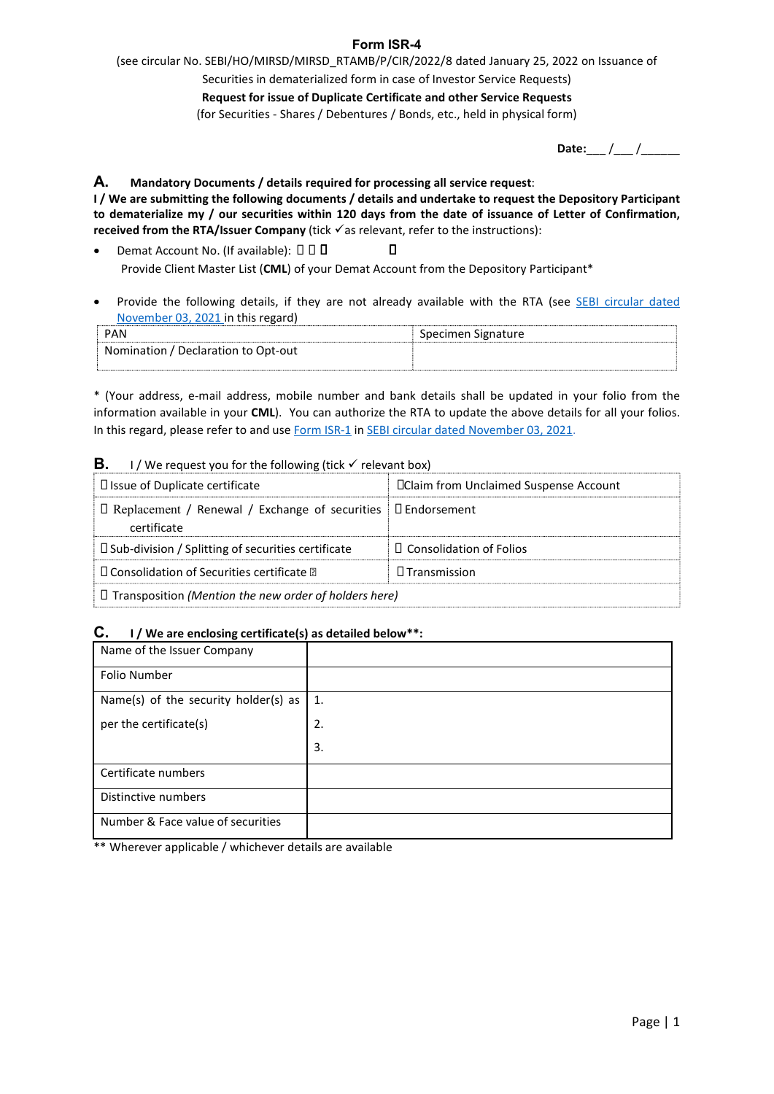**Form ISR-4**<br>AMB/P/CIR/2022/8 dated January 25, 2022 on Issuance of<br>form in case of Investor Service Requests)<br>te Certificate and other Service Requests<br>entures / Bonds, etc., held in physical form) **Form ISR-4**<br>
(see circular No. SEBI/HO/MIRSD/MIRSD\_RTAMB/P/CIR/2022/8 dated January 25, 2022 on Issuance of<br>
Securities in dematerialized form in case of Investor Service Requests)<br>
Request for issue of Duplicate Certific **Form ISR-4**<br>
SEBI/HO/MIRSD/MIRSD\_RTAMB/P/CIR/2022/8 dated January 25, 2022 on Issuance of<br>
Securities in dematerialized form in case of Investor Service Requests)<br>
Request for issue of Duplicate Certificate and other Serv

Form ISR-4<br>
SEBI/HO/MIRSD/MIRSD\_RTAMB/P/CIR/2022/8 dated January 25, 2022 on Issuance of<br>
Securities in dematerialized form in case of Investor Service Requests)<br>
Request for issue of Duplicate Certificate and other Servic Form ISR-4<br>
Form ISR-4<br>
SEBI/HO/MIRSD/MIRSD\_RTAMB/P/CIR/2022/8 dated January 25, 2022 on Issuance of<br>
Securities in dematerialized form in case of Investor Service Requests)<br>
Request for issue of Duplicate Certificate and 2022 on Issuance of<br>tts)<br>sts<br>mm)<br>Date:\_\_\_ /\_\_\_ /\_\_\_\_\_\_\_\_\_<br>Depository Participant<br>etter of Confirmation, **Form ISR-4**<br> **Form ISR-4**<br>
(see circular No. SEBI/HO/MIRSD/MIRSD\_RTAMB/P/CIR/2022/8 dated January 25, 2022 on Issuance of<br>
Securities in dematerialized form in case of Investor Service Requests)<br>
Request for issue of Dup **IDENT SERANG ARE SUBMILL FOR A SEBI/HO/MIRSD/MIRSD\_RTAMB/P/CIR/2022/8 dated January 25, 2022 on Issuance of**<br>
Securities in dematerialized form in case of Investor Service Requests)<br> **Request for issue of Duplicate Certi Form ISR-4**<br> **Form ISR-4**<br>
(see circular No. SEB/HO/MIRSD/MIRSD\_RTAMB/P/CIR/2022/8 dated January 25, 2022 on Issuance of<br>
Securities in dematerialized form in case of Investor Service Requests<br>
(for Securities - Shares / **Form ISR-4**<br> **FORM ISSUE ACCONT CONVENT (FORM)** FOR THIS (FORM) FOR SECUTE SECUTE SURVENT COMPANE SURVENT COMPANE COMPANE COMPANE COMPANE COMPANE COMPANE CONDUCT CONDUCT THE ACCOUNT CONDUCT CONDUCT THE ACCOUNT OF THE ACC Form ISR-4<br>
Form ISR-4<br>
Securities in dematerialized form in case of Investor Service Requests)<br>
Request for issue of Duplicate Certificate and other Service Requests<br>
(for Securities - Shares / Debentures / Bonds, etc., h From ISR-4<br>
From ISRA (HoC) MIRSO/MIRSO FRAMB/PCIR/2022/8 dated January 25, 2022 on Issuance of<br>
Securities in dematerialized form in case of Investor Service Requests)<br>
Request for issue of Duplicate Certificate and othe **Form ISR-4**<br>
See circular No. SEBI/HO/MIRSD/MIRSD/MIRSID RTAMB/P/CIR/2022/8 dated January 25, 2022 on Issuance of<br>
Securities in dematerialized form in case of Investor Service Requests)<br>
Request for issue of Duplicate C **Form ISR-4**<br>
Form ISR-4<br>
Form ISR-4<br>
Form ISR-4<br>
Securities in dematerialized form in case of Investor Service Requests)<br>
Request for its use of Duplicat Certificate and other Service Requests)<br>
Request for its use of Du **Form ISR-4**<br> **Form ISR-4**<br>
(see circular No. SEBI/HO/MIRSD/MIRSD\_RTAMB/P/CIR/2027/8 dated January 25, 2022 on Issuance of<br>
Securities in dematerialized form in case of investor Service Requests<br>
Request for issue of Dupl \* (Your address, e-mail address, mobile number and bank details shall be updated in your folio from the **Example in the state of Duplicate Certificate and other Service Requests<br>
(for Securities - Shares / Debentures / Bonds, etc., held in physical form)<br>
<b>A.**<br> **A.**<br>
Markatory Documents / details required for processing all

- 
- 

| <b>PAN</b>                          | Specimen Signature |
|-------------------------------------|--------------------|
| Nomination / Declaration to Opt-out |                    |
|                                     |                    |

|                                                                                                                                                                                                                                                                                                                                                                                                              |    | (for Securities - Shares / Debentures / Bonds, etc., held in physical form)                            |                       |
|--------------------------------------------------------------------------------------------------------------------------------------------------------------------------------------------------------------------------------------------------------------------------------------------------------------------------------------------------------------------------------------------------------------|----|--------------------------------------------------------------------------------------------------------|-----------------------|
|                                                                                                                                                                                                                                                                                                                                                                                                              |    |                                                                                                        | Date: $\frac{1}{2}$ / |
| А.<br>Mandatory Documents / details required for processing all service request:<br>I/We are submitting the following documents/details and undertake to request the Depository Participant<br>to dematerialize my / our securities within 120 days from the date of issuance of Letter of Confirmation,<br>received from the RTA/Issuer Company (tick $\checkmark$ as relevant, refer to the instructions): |    |                                                                                                        |                       |
| Demat Account No. (If available): □ □ □<br>$\bullet$                                                                                                                                                                                                                                                                                                                                                         |    | п<br>Provide Client Master List (CML) of your Demat Account from the Depository Participant*           |                       |
| $\bullet$<br>November 03, 2021 in this regard)                                                                                                                                                                                                                                                                                                                                                               |    | Provide the following details, if they are not already available with the RTA (see SEBI circular dated |                       |
| <b>PAN</b>                                                                                                                                                                                                                                                                                                                                                                                                   |    | Specimen Signature                                                                                     |                       |
| Nomination / Declaration to Opt-out                                                                                                                                                                                                                                                                                                                                                                          |    |                                                                                                        |                       |
| В.<br>I / We request you for the following (tick √ relevant box)<br>□ Issue of Duplicate certificate                                                                                                                                                                                                                                                                                                         |    | <b>IClaim from Unclaimed Suspense Account</b>                                                          |                       |
| $\Box$ Replacement / Renewal / Exchange of securities<br>certificate                                                                                                                                                                                                                                                                                                                                         |    | $\square$ Endorsement                                                                                  |                       |
| □ Sub-division / Splitting of securities certificate                                                                                                                                                                                                                                                                                                                                                         |    | □ Consolidation of Folios                                                                              |                       |
| $\square$ Consolidation of Securities certificate $\square$                                                                                                                                                                                                                                                                                                                                                  |    | $\Box$ Transmission                                                                                    |                       |
| $\Box$ Transposition (Mention the new order of holders here)                                                                                                                                                                                                                                                                                                                                                 |    |                                                                                                        |                       |
| C.<br>I / We are enclosing certificate(s) as detailed below**:                                                                                                                                                                                                                                                                                                                                               |    |                                                                                                        |                       |
| Name of the Issuer Company                                                                                                                                                                                                                                                                                                                                                                                   |    |                                                                                                        |                       |
| Folio Number                                                                                                                                                                                                                                                                                                                                                                                                 |    |                                                                                                        |                       |
| Name(s) of the security holder(s) as                                                                                                                                                                                                                                                                                                                                                                         | 1. |                                                                                                        |                       |
| per the certificate(s)                                                                                                                                                                                                                                                                                                                                                                                       | 2. |                                                                                                        |                       |
|                                                                                                                                                                                                                                                                                                                                                                                                              | 3. |                                                                                                        |                       |
| Cortificate numbers                                                                                                                                                                                                                                                                                                                                                                                          |    |                                                                                                        |                       |

|                                                                                              |    | * (Your address, e-mail address, mobile number and bank details shall be updated in your folio from the<br>information available in your CML). You can authorize the RTA to update the above details for all your folios. |           |
|----------------------------------------------------------------------------------------------|----|---------------------------------------------------------------------------------------------------------------------------------------------------------------------------------------------------------------------------|-----------|
| In this regard, please refer to and use Form ISR-1 in SEBI circular dated November 03, 2021. |    |                                                                                                                                                                                                                           |           |
| В.<br>I / We request you for the following (tick √ relevant box)                             |    |                                                                                                                                                                                                                           |           |
| □ Issue of Duplicate certificate                                                             |    | <b>IClaim from Unclaimed Suspense Account</b>                                                                                                                                                                             |           |
| □ Replacement / Renewal / Exchange of securities<br>certificate                              |    | □ Endorsement                                                                                                                                                                                                             |           |
| □ Sub-division / Splitting of securities certificate                                         |    | □ Consolidation of Folios                                                                                                                                                                                                 |           |
| □ Consolidation of Securities certificate 2                                                  |    | □ Transmission                                                                                                                                                                                                            |           |
| $\Box$ Transposition (Mention the new order of holders here)                                 |    |                                                                                                                                                                                                                           |           |
| C.                                                                                           |    |                                                                                                                                                                                                                           |           |
| I / We are enclosing certificate(s) as detailed below**:<br>Name of the Issuer Company       |    |                                                                                                                                                                                                                           |           |
| Folio Number                                                                                 |    |                                                                                                                                                                                                                           |           |
|                                                                                              |    |                                                                                                                                                                                                                           |           |
| Name(s) of the security holder(s) as $ $                                                     | 1. |                                                                                                                                                                                                                           |           |
| per the certificate(s)                                                                       | 2. |                                                                                                                                                                                                                           |           |
|                                                                                              | 3. |                                                                                                                                                                                                                           |           |
| Certificate numbers                                                                          |    |                                                                                                                                                                                                                           |           |
| Distinctive numbers                                                                          |    |                                                                                                                                                                                                                           |           |
| Number & Face value of securities                                                            |    |                                                                                                                                                                                                                           |           |
| ** Wherever applicable / whichever details are available                                     |    |                                                                                                                                                                                                                           |           |
|                                                                                              |    |                                                                                                                                                                                                                           |           |
|                                                                                              |    |                                                                                                                                                                                                                           |           |
|                                                                                              |    |                                                                                                                                                                                                                           |           |
|                                                                                              |    |                                                                                                                                                                                                                           |           |
|                                                                                              |    |                                                                                                                                                                                                                           |           |
|                                                                                              |    |                                                                                                                                                                                                                           |           |
|                                                                                              |    |                                                                                                                                                                                                                           |           |
|                                                                                              |    |                                                                                                                                                                                                                           | Page $ 1$ |
|                                                                                              |    |                                                                                                                                                                                                                           |           |
|                                                                                              |    |                                                                                                                                                                                                                           |           |
|                                                                                              |    |                                                                                                                                                                                                                           |           |
|                                                                                              |    |                                                                                                                                                                                                                           |           |